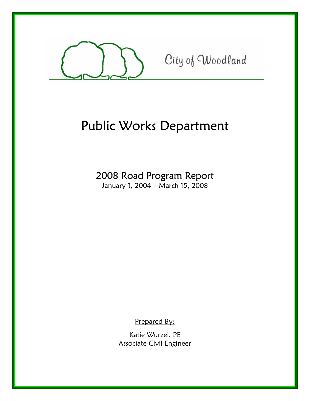

City of Woodland

# Public Works Department

# 2008 Road Program Report

January 1, 2004 – March 15, 2008

Prepared By:

Katie Wurzel, PE Associate Civil Engineer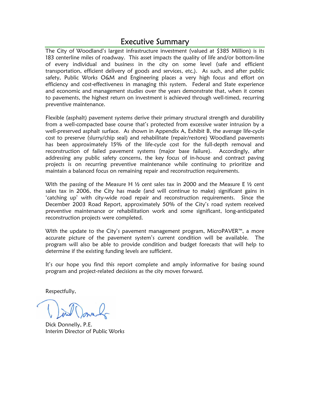## Executive Summary

The City of Woodland's largest infrastructure investment (valued at \$385 Million) is its 183 centerline miles of roadway. This asset impacts the quality of life and/or bottom-line of every individual and business in the city on some level (safe and efficient transportation, efficient delivery of goods and services, etc.). As such, and after public safety, Public Works O&M and Engineering places a very high focus and effort on efficiency and cost-effectiveness in managing this system. Federal and State experience and economic and management studies over the years demonstrate that, when it comes to pavements, the highest return on investment is achieved through well-timed, recurring preventive maintenance.

Flexible (asphalt) pavement systems derive their primary structural strength and durability from a well-compacted base course that's protected from excessive water intrusion by a well-preserved asphalt surface. As shown in Appendix A, Exhibit B, the average life-cycle cost to preserve (slurry/chip seal) and rehabilitate (repair/restore) Woodland pavements has been approximately 15% of the life-cycle cost for the full-depth removal and reconstruction of failed pavement systems (major base failure). Accordingly, after addressing any public safety concerns, the key focus of in-house and contract paving projects is on recurring preventive maintenance while continuing to prioritize and maintain a balanced focus on remaining repair and reconstruction requirements.

With the passing of the Measure H  $\frac{1}{2}$  cent sales tax in 2000 and the Measure E  $\frac{1}{2}$  cent sales tax in 2006, the City has made (and will continue to make) significant gains in 'catching up' with city-wide road repair and reconstruction requirements. Since the December 2003 Road Report, approximately 50% of the City's road system received preventive maintenance or rehabilitation work and some significant, long-anticipated reconstruction projects were completed.

With the update to the City's pavement management program, MicroPAVER<sup>™</sup>, a more accurate picture of the pavement system's current condition will be available. The program will also be able to provide condition and budget forecasts that will help to determine if the existing funding levels are sufficient.

It's our hope you find this report complete and amply informative for basing sound program and project-related decisions as the city moves forward.

Respectfully,

Dick Donnelly, P.E. Interim Director of Public Works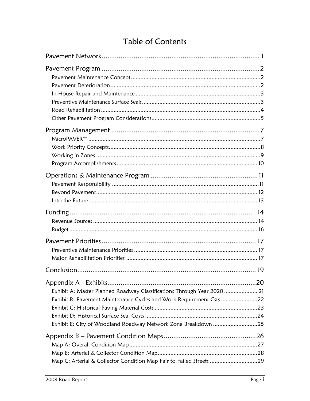# Table of Contents

|                                                                                                                                                                                                                 | 19 |
|-----------------------------------------------------------------------------------------------------------------------------------------------------------------------------------------------------------------|----|
| Exhibit A: Master Planned Roadway Classifications Through Year 2020  21<br>Exhibit B: Pavement Maintenance Cycles and Work Requirement Csts 22<br>Exhibit E: City of Woodland Roadway Network Zone Breakdown 25 |    |
| Map C: Arterial & Collector Condition Map Fair to Failed Streets 29                                                                                                                                             |    |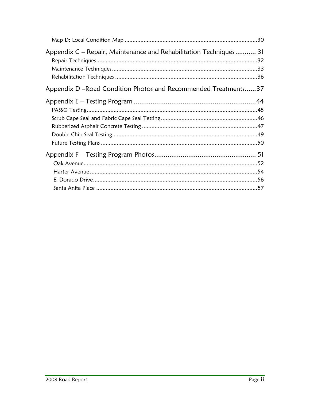| Appendix C – Repair, Maintenance and Rehabilitation Techniques 31 |  |
|-------------------------------------------------------------------|--|
| Appendix D - Road Condition Photos and Recommended Treatments37   |  |
|                                                                   |  |
|                                                                   |  |
|                                                                   |  |
|                                                                   |  |
|                                                                   |  |
|                                                                   |  |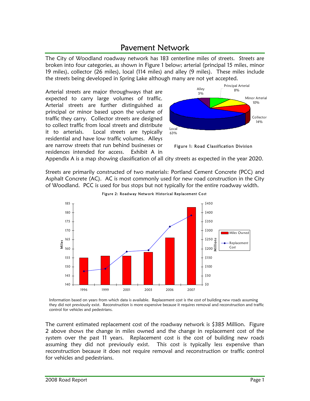## Pavement Network

The City of Woodland roadway network has 183 centerline miles of streets. Streets are broken into four categories, as shown in Figure 1 below; arterial (principal 15 miles, minor 19 miles), collector (26 miles), local (114 miles) and alley (9 miles). These miles include the streets being developed in Spring Lake although many are not yet accepted.

Arterial streets are major throughways that are expected to carry large volumes of traffic. Arterial streets are further distinguished as principal or minor based upon the volume of traffic they carry. Collector streets are designed to collect traffic from local streets and distribute it to arterials. Local streets are typically residential and have low traffic volumes. Alleys are narrow streets that run behind businesses or residences intended for access. Exhibit A in



Figure 1: Road Classification Division

Appendix A is a map showing classification of all city streets as expected in the year 2020.

Streets are primarily constructed of two materials: Portland Cement Concrete (PCC) and Asphalt Concrete (AC). AC is most commonly used for new road construction in the City of Woodland. PCC is used for bus stops but not typically for the entire roadway width.



Figure 2: Roadway Network Historical Replacement Cost

Information based on years from which data is available. Replacement cost is the cost of building new roads assuming they did not previously exist. Reconstruction is more expensive because it requires removal and reconstruction and traffic control for vehicles and pedestrians.

The current estimated replacement cost of the roadway network is \$385 Million. Figure 2 above shows the change in miles owned and the change in replacement cost of the system over the past 11 years. Replacement cost is the cost of building new roads assuming they did not previously exist. This cost is typically less expensive than reconstruction because it does not require removal and reconstruction or traffic control for vehicles and pedestrians.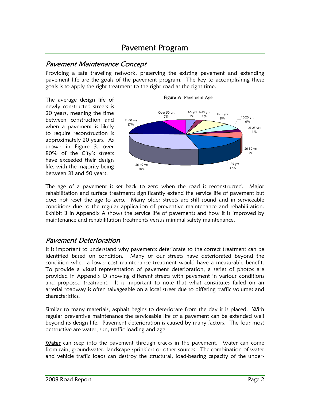## Pavement Program

#### Pavement Maintenance Concept

Providing a safe traveling network, preserving the existing pavement and extending pavement life are the goals of the pavement program. The key to accomplishing these goals is to apply the right treatment to the right road at the right time.

The average design life of newly constructed streets is 20 years, meaning the time between construction and when a pavement is likely to require reconstruction is approximately 20 years. As shown in Figure 3, over 80% of the City's streets have exceeded their design life, with the majority being between 31 and 50 years.



The age of a pavement is set back to zero when the road is reconstructed. Major rehabilitation and surface treatments significantly extend the service life of pavement but does not reset the age to zero. Many older streets are still sound and in serviceable conditions due to the regular application of preventive maintenance and rehabilitation. Exhibit B in Appendix A shows the service life of pavements and how it is improved by maintenance and rehabilitation treatments versus minimal safety maintenance.

#### Pavement Deterioration

It is important to understand why pavements deteriorate so the correct treatment can be identified based on condition. Many of our streets have deteriorated beyond the condition when a lower-cost maintenance treatment would have a measurable benefit. To provide a visual representation of pavement deterioration, a series of photos are provided in Appendix D showing different streets with pavement in various conditions and proposed treatment. It is important to note that what constitutes failed on an arterial roadway is often salvageable on a local street due to differing traffic volumes and characteristics.

Similar to many materials, asphalt begins to deteriorate from the day it is placed. With regular preventive maintenance the serviceable life of a pavement can be extended well beyond its design life. Pavement deterioration is caused by many factors. The four most destructive are water, sun, traffic loading and age.

Water can seep into the pavement through cracks in the pavement. Water can come from rain, groundwater, landscape sprinklers or other sources. The combination of water and vehicle traffic loads can destroy the structural, load-bearing capacity of the under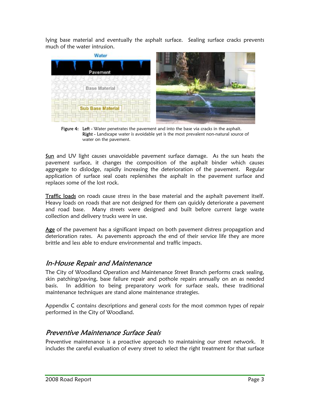lying base material and eventually the asphalt surface. Sealing surface cracks prevents much of the water intrusion.



Figure 4: Left - Water penetrates the pavement and into the base via cracks in the asphalt. Right - Landscape water is avoidable yet is the most prevalent non-natural source of water on the pavement.

Sun and UV light causes unavoidable pavement surface damage. As the sun heats the pavement surface, it changes the composition of the asphalt binder which causes aggregate to dislodge, rapidly increasing the deterioration of the pavement. Regular application of surface seal coats replenishes the asphalt in the pavement surface and replaces some of the lost rock.

Traffic loads on roads cause stress in the base material and the asphalt pavement itself. Heavy loads on roads that are not designed for them can quickly deteriorate a pavement and road base. Many streets were designed and built before current large waste collection and delivery trucks were in use.

Age of the pavement has a significant impact on both pavement distress propagation and deterioration rates. As pavements approach the end of their service life they are more brittle and less able to endure environmental and traffic impacts.

#### In-House Repair and Maintenance

The City of Woodland Operation and Maintenance Street Branch performs crack sealing, skin patching/paving, base failure repair and pothole repairs annually on an as needed basis. In addition to being preparatory work for surface seals, these traditional maintenance techniques are stand alone maintenance strategies.

Appendix C contains descriptions and general costs for the most common types of repair performed in the City of Woodland.

#### Preventive Maintenance Surface Seals

Preventive maintenance is a proactive approach to maintaining our street network. It includes the careful evaluation of every street to select the right treatment for that surface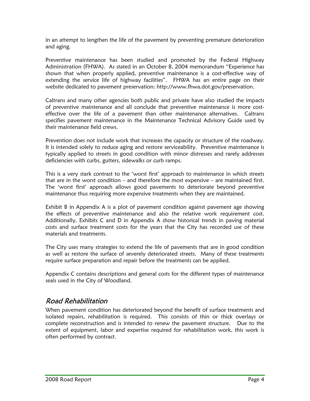in an attempt to lengthen the life of the pavement by preventing premature deterioration and aging.

Preventive maintenance has been studied and promoted by the Federal Highway Administration (FHWA). As stated in an October 8, 2004 memorandum "Experience has shown that when properly applied, preventive maintenance is a cost-effective way of extending the service life of highway facilities". FHWA has an entire page on their website dedicated to pavement preservation: http://www.fhwa.dot.gov/preservation.

Caltrans and many other agencies both public and private have also studied the impacts of preventive maintenance and all conclude that preventive maintenance is more costeffective over the life of a pavement than other maintenance alternatives. Caltrans specifies pavement maintenance in the Maintenance Technical Advisory Guide used by their maintenance field crews.

Prevention does not include work that increases the capacity or structure of the roadway. It is intended solely to reduce aging and restore serviceability. Preventive maintenance is typically applied to streets in good condition with minor distresses and rarely addresses deficiencies with curbs, gutters, sidewalks or curb ramps.

This is a very stark contrast to the 'worst first' approach to maintenance in which streets that are in the worst condition – and therefore the most expensive – are maintained first. The 'worst first' approach allows good pavements to deteriorate beyond preventive maintenance thus requiring more expensive treatments when they are maintained.

Exhibit B in Appendix A is a plot of pavement condition against pavement age showing the effects of preventive maintenance and also the relative work requirement cost. Additionally, Exhibits C and D in Appendix A show historical trends in paving material costs and surface treatment costs for the years that the City has recorded use of these materials and treatments.

The City uses many strategies to extend the life of pavements that are in good condition as well as restore the surface of severely deteriorated streets. Many of these treatments require surface preparation and repair before the treatments can be applied.

Appendix C contains descriptions and general costs for the different types of maintenance seals used in the City of Woodland.

#### Road Rehabilitation

When pavement condition has deteriorated beyond the benefit of surface treatments and isolated repairs, rehabilitation is required. This consists of thin or thick overlays or complete reconstruction and is intended to renew the pavement structure. Due to the extent of equipment, labor and expertise required for rehabilitation work, this work is often performed by contract.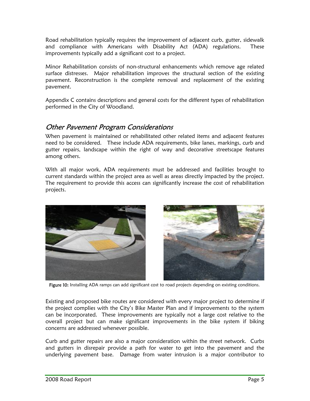Road rehabilitation typically requires the improvement of adjacent curb, gutter, sidewalk and compliance with Americans with Disability Act (ADA) regulations. These improvements typically add a significant cost to a project.

Minor Rehabilitation consists of non-structural enhancements which remove age related surface distresses. Major rehabilitation improves the structural section of the existing pavement. Reconstruction is the complete removal and replacement of the existing pavement.

Appendix C contains descriptions and general costs for the different types of rehabilitation performed in the City of Woodland.

#### Other Pavement Program Considerations

When pavement is maintained or rehabilitated other related items and adjacent features need to be considered. These include ADA requirements, bike lanes, markings, curb and gutter repairs, landscape within the right of way and decorative streetscape features among others.

With all major work, ADA requirements must be addressed and facilities brought to current standards within the project area as well as areas directly impacted by the project. The requirement to provide this access can significantly increase the cost of rehabilitation projects.



Figure 10: Installing ADA ramps can add significant cost to road projects depending on existing conditions.

Existing and proposed bike routes are considered with every major project to determine if the project complies with the City's Bike Master Plan and if improvements to the system can be incorporated. These improvements are typically not a large cost relative to the overall project but can make significant improvements in the bike system if biking concerns are addressed whenever possible.

Curb and gutter repairs are also a major consideration within the street network. Curbs and gutters in disrepair provide a path for water to get into the pavement and the underlying pavement base. Damage from water intrusion is a major contributor to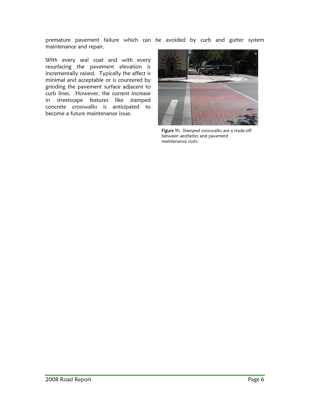premature pavement failure which can be avoided by curb and gutter system maintenance and repair.

With every seal coat and with every resurfacing the pavement elevation is incrementally raised. Typically the affect is minimal and acceptable or is countered by grinding the pavement surface adjacent to curb lines. However, the current increase in streetscape features like stamped concrete crosswalks is anticipated to become a future maintenance issue.



Figure 11: Stamped crosswalks are a trade-off between aesthetics and pavement maintenance costs.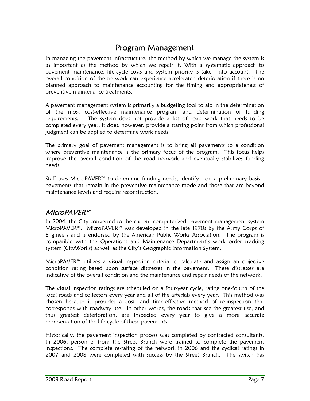## Program Management

In managing the pavement infrastructure, the method by which we manage the system is as important as the method by which we repair it. With a systematic approach to pavement maintenance, life-cycle costs and system priority is taken into account. The overall condition of the network can experience accelerated deterioration if there is no planned approach to maintenance accounting for the timing and appropriateness of preventive maintenance treatments.

A pavement management system is primarily a budgeting tool to aid in the determination of the most cost-effective maintenance program and determination of funding requirements. The system does not provide a list of road work that needs to be completed every year. It does, however, provide a starting point from which professional judgment can be applied to determine work needs.

The primary goal of pavement management is to bring all pavements to a condition where preventive maintenance is the primary focus of the program. This focus helps improve the overall condition of the road network and eventually stabilizes funding needs.

Staff uses MicroPAVER<sup>™</sup> to determine funding needs, identify - on a preliminary basis pavements that remain in the preventive maintenance mode and those that are beyond maintenance levels and require reconstruction.

#### MicroPAVER™

In 2004, the City converted to the current computerized pavement management system MicroPAVER™. MicroPAVER™ was developed in the late 1970s by the Army Corps of Engineers and is endorsed by the American Public Works Association. The program is compatible with the Operations and Maintenance Department's work order tracking system (CityWorks) as well as the City's Geographic Information System.

MicroPAVER™ utilizes a visual inspection criteria to calculate and assign an objective condition rating based upon surface distresses in the pavement. These distresses are indicative of the overall condition and the maintenance and repair needs of the network.

The visual inspection ratings are scheduled on a four-year cycle, rating one-fourth of the local roads and collectors every year and all of the arterials every year. This method was chosen because it provides a cost- and time-effective method of re-inspection that corresponds with roadway use. In other words, the roads that see the greatest use, and thus greatest deterioration, are inspected every year to give a more accurate representation of the life-cycle of these pavements.

Historically, the pavement inspection process was completed by contracted consultants. In 2006, personnel from the Street Branch were trained to complete the pavement inspections. The complete re-rating of the network in 2006 and the cyclical ratings in 2007 and 2008 were completed with success by the Street Branch. The switch has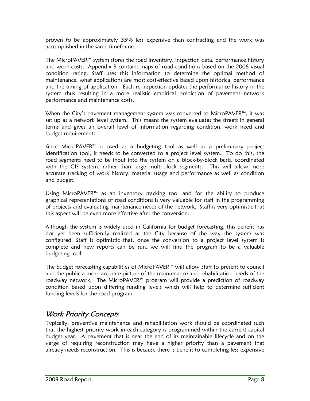proven to be approximately 35% less expensive than contracting and the work was accomplished in the same timeframe.

The MicroPAVER™ system stores the road inventory, inspection data, performance history and work costs. Appendix B contains maps of road conditions based on the 2006 visual condition rating. Staff uses this information to determine the optimal method of maintenance, what applications are most cost-effective based upon historical performance and the timing of application. Each re-inspection updates the performance history in the system thus resulting in a more realistic empirical prediction of pavement network performance and maintenance costs.

When the City's pavement management system was converted to MicroPAVER™, it was set up as a network level system. This means the system evaluates the streets in general terms and gives an overall level of information regarding condition, work need and budget requirements.

Since MicroPAVER™ is used as a budgeting tool as well as a preliminary project identification tool, it needs to be converted to a project level system. To do this, the road segments need to be input into the system on a block-by-block basis, coordinated with the GIS system, rather than large multi-block segments. This will allow more accurate tracking of work history, material usage and performance as well as condition and budget.

Using MicroPAVER™ as an inventory tracking tool and for the ability to produce graphical representations of road conditions is very valuable for staff in the programming of projects and evaluating maintenance needs of the network. Staff is very optimistic that this aspect will be even more effective after the conversion.

Although the system is widely used in California for budget forecasting, this benefit has not yet been sufficiently realized at the City because of the way the system was configured. Staff is optimistic that, once the conversion to a project level system is complete and new reports can be run, we will find the program to be a valuable budgeting tool.

The budget forecasting capabilities of MicroPAVER™ will allow Staff to present to council and the public a more accurate picture of the maintenance and rehabilitation needs of the roadway network. The MicroPAVER™ program will provide a prediction of roadway condition based upon differing funding levels which will help to determine sufficient funding levels for the road program.

#### Work Priority Concepts

Typically, preventive maintenance and rehabilitation work should be coordinated such that the highest priority work in each category is programmed within the current capital budget year. A pavement that is near the end of its maintainable lifecycle and on the verge of requiring reconstruction may have a higher priority than a pavement that already needs reconstruction. This is because there is benefit to completing less expensive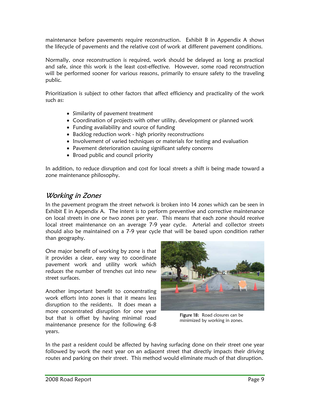maintenance before pavements require reconstruction. Exhibit B in Appendix A shows the lifecycle of pavements and the relative cost of work at different pavement conditions.

Normally, once reconstruction is required, work should be delayed as long as practical and safe, since this work is the least cost-effective. However, some road reconstruction will be performed sooner for various reasons, primarily to ensure safety to the traveling public.

Prioritization is subject to other factors that affect efficiency and practicality of the work such as:

- Similarity of pavement treatment
- Coordination of projects with other utility, development or planned work
- Funding availability and source of funding
- Backlog reduction work high priority reconstructions
- Involvement of varied techniques or materials for testing and evaluation
- Pavement deterioration causing significant safety concerns
- Broad public and council priority

In addition, to reduce disruption and cost for local streets a shift is being made toward a zone maintenance philosophy.

#### Working in Zones

In the pavement program the street network is broken into 14 zones which can be seen in Exhibit E in Appendix A. The intent is to perform preventive and corrective maintenance on local streets in one or two zones per year. This means that each zone should receive local street maintenance on an average 7-9 year cycle. Arterial and collector streets should also be maintained on a 7-9 year cycle that will be based upon condition rather than geography.

One major benefit of working by zone is that it provides a clear, easy way to coordinate pavement work and utility work which reduces the number of trenches cut into new street surfaces.

Another important benefit to concentrating work efforts into zones is that it means less disruption to the residents. It does mean a more concentrated disruption for one year but that is offset by having minimal road maintenance presence for the following 6-8 years.



Figure 18: Road closures can be minimized by working in zones.

In the past a resident could be affected by having surfacing done on their street one year followed by work the next year on an adjacent street that directly impacts their driving routes and parking on their street. This method would eliminate much of that disruption.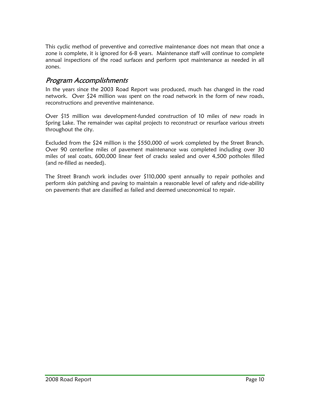This cyclic method of preventive and corrective maintenance does not mean that once a zone is complete, it is ignored for 6-8 years. Maintenance staff will continue to complete annual inspections of the road surfaces and perform spot maintenance as needed in all zones.

#### Program Accomplishments

In the years since the 2003 Road Report was produced, much has changed in the road network. Over \$24 million was spent on the road network in the form of new roads, reconstructions and preventive maintenance.

Over \$15 million was development-funded construction of 10 miles of new roads in Spring Lake. The remainder was capital projects to reconstruct or resurface various streets throughout the city.

Excluded from the \$24 million is the \$550,000 of work completed by the Street Branch. Over 90 centerline miles of pavement maintenance was completed including over 30 miles of seal coats, 600,000 linear feet of cracks sealed and over 4,500 potholes filled (and re-filled as needed).

The Street Branch work includes over \$110,000 spent annually to repair potholes and perform skin patching and paving to maintain a reasonable level of safety and ride-ability on pavements that are classified as failed and deemed uneconomical to repair.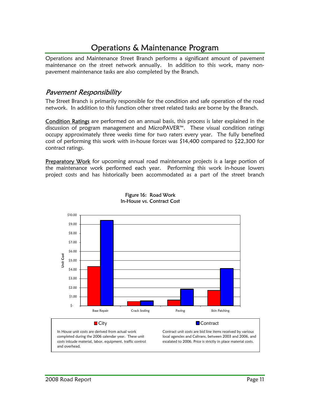## Operations & Maintenance Program

Operations and Maintenance Street Branch performs a significant amount of pavement maintenance on the street network annually. In addition to this work, many nonpavement maintenance tasks are also completed by the Branch.

#### Pavement Responsibility

The Street Branch is primarily responsible for the condition and safe operation of the road network. In addition to this function other street related tasks are borne by the Branch.

Condition Ratings are performed on an annual basis, this process is later explained in the discussion of program management and MicroPAVER™. These visual condition ratings occupy approximately three weeks time for two raters every year. The fully benefited cost of performing this work with in-house forces was \$14,400 compared to \$22,300 for contract ratings.

Preparatory Work for upcoming annual road maintenance projects is a large portion of the maintenance work performed each year. Performing this work in-house lowers project costs and has historically been accommodated as a part of the street branch



Figure 16: Road Work In-House vs. Contract Cost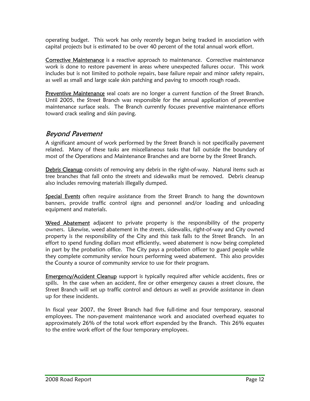operating budget. This work has only recently begun being tracked in association with capital projects but is estimated to be over 40 percent of the total annual work effort.

Corrective Maintenance is a reactive approach to maintenance. Corrective maintenance work is done to restore pavement in areas where unexpected failures occur. This work includes but is not limited to pothole repairs, base failure repair and minor safety repairs, as well as small and large scale skin patching and paving to smooth rough roads.

**Preventive Maintenance** seal coats are no longer a current function of the Street Branch. Until 2005, the Street Branch was responsible for the annual application of preventive maintenance surface seals. The Branch currently focuses preventive maintenance efforts toward crack sealing and skin paving.

#### Beyond Pavement

A significant amount of work performed by the Street Branch is not specifically pavement related. Many of these tasks are miscellaneous tasks that fall outside the boundary of most of the Operations and Maintenance Branches and are borne by the Street Branch.

Debris Cleanup consists of removing any debris in the right-of-way. Natural items such as tree branches that fall onto the streets and sidewalks must be removed. Debris cleanup also includes removing materials illegally dumped.

**Special Events** often require assistance from the Street Branch to hang the downtown banners, provide traffic control signs and personnel and/or loading and unloading equipment and materials.

Weed Abatement adjacent to private property is the responsibility of the property owners. Likewise, weed abatement in the streets, sidewalks, right-of-way and City owned property is the responsibility of the City and this task falls to the Street Branch. In an effort to spend funding dollars most efficiently, weed abatement is now being completed in part by the probation office. The City pays a probation officer to guard people while they complete community service hours performing weed abatement. This also provides the County a source of community service to use for their program.

**Emergency/Accident Cleanup** support is typically required after vehicle accidents, fires or spills. In the case when an accident, fire or other emergency causes a street closure, the Street Branch will set up traffic control and detours as well as provide assistance in clean up for these incidents.

In fiscal year 2007, the Street Branch had five full-time and four temporary, seasonal employees. The non-pavement maintenance work and associated overhead equates to approximately 26% of the total work effort expended by the Branch. This 26% equates to the entire work effort of the four temporary employees.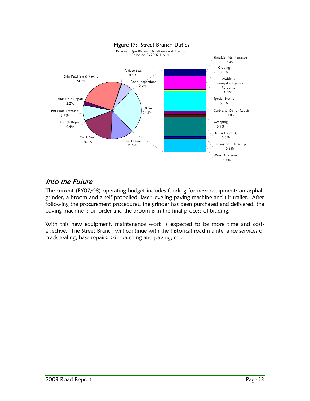

## Into the Future

The current (FY07/08) operating budget includes funding for new equipment; an asphalt grinder, a broom and a self-propelled, laser-leveling paving machine and tilt-trailer. After following the procurement procedures, the grinder has been purchased and delivered, the paving machine is on order and the broom is in the final process of bidding.

With this new equipment, maintenance work is expected to be more time and costeffective. The Street Branch will continue with the historical road maintenance services of crack sealing, base repairs, skin patching and paving, etc.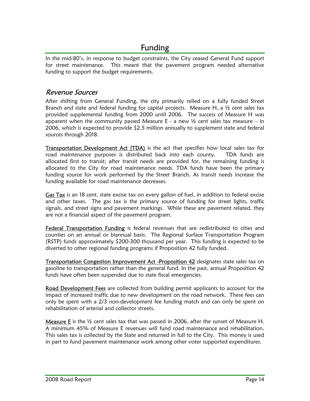## Funding

In the mid-80's, in response to budget constraints, the City ceased General Fund support for street maintenance. This meant that the pavement program needed alternative funding to support the budget requirements.

#### Revenue Sources

After shifting from General Funding, the city primarily relied on a fully funded Street Branch and state and federal funding for capital projects. Measure H, a  $\frac{1}{2}$  cent sales tax provided supplemental funding from 2000 until 2006. The success of Measure H was apparent when the community passed Measure  $E - a$  new  $\frac{1}{2}$  cent sales tax measure – in 2006, which is expected to provide  $\zeta$ 2.5 million annually to supplement state and federal sources through 2018.

**Transportation Development Act (TDA)** is the act that specifies how local sales tax for road maintenance purposes is distributed back into each county. TDA funds are allocated first to transit; after transit needs are provided for, the remaining funding is allocated to the City for road maintenance needs. TDA funds have been the primary funding source for work performed by the Street Branch. As transit needs increase the funding available for road maintenance decreases.

Gas Tax is an 18 cent, state excise tax on every gallon of fuel, in addition to federal excise and other taxes. The gas tax is the primary source of funding for street lights, traffic signals, and street signs and pavement markings. While these are pavement related, they are not a financial aspect of the pavement program.

Federal Transportation Funding is federal revenues that are redistributed to cities and counties on an annual or biannual basis. The Regional Surface Transportation Program (RSTP) funds approximately \$200-300 thousand per year. This funding is expected to be diverted to other regional funding programs if Proposition 42 fully funded.

Transportation Congestion Improvement Act -Proposition 42 designates state sales tax on gasoline to transportation rather than the general fund. In the past, annual Proposition 42 funds have often been suspended due to state fiscal emergencies.

Road Development Fees are collected from building permit applicants to account for the impact of increased traffic due to new development on the road network. These fees can only be spent with a 2/3 non-development fee funding match and can only be spent on rehabilitation of arterial and collector streets.

**Measure E** is the  $\frac{1}{2}$  cent sales tax that was passed in 2006, after the sunset of Measure H. A minimum 45% of Measure E revenues will fund road maintenance and rehabilitation. This sales tax is collected by the State and returned in full to the City. This money is used in part to fund pavement maintenance work among other voter supported expenditures.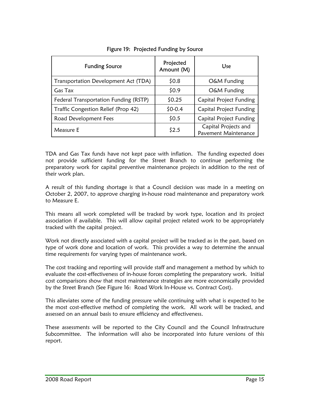| <b>Funding Source</b>                 | Projected<br>Amount (M) | Use                                          |
|---------------------------------------|-------------------------|----------------------------------------------|
| Transportation Development Act (TDA)  | \$0.8\$                 | O&M Funding                                  |
| Gas Tax                               | \$0.9                   | O&M Funding                                  |
| Federal Transportation Funding (RSTP) | \$0.25                  | <b>Capital Project Funding</b>               |
| Traffic Congestion Relief (Prop 42)   | $$0-0.4$                | Capital Project Funding                      |
| Road Development Fees                 | \$0.5                   | Capital Project Funding                      |
| Measure E                             | \$2.5                   | Capital Projects and<br>Pavement Maintenance |

#### Figure 19: Projected Funding by Source

TDA and Gas Tax funds have not kept pace with inflation. The funding expected does not provide sufficient funding for the Street Branch to continue performing the preparatory work for capital preventive maintenance projects in addition to the rest of their work plan.

A result of this funding shortage is that a Council decision was made in a meeting on October 2, 2007, to approve charging in-house road maintenance and preparatory work to Measure E.

This means all work completed will be tracked by work type, location and its project association if available. This will allow capital project related work to be appropriately tracked with the capital project.

Work not directly associated with a capital project will be tracked as in the past, based on type of work done and location of work. This provides a way to determine the annual time requirements for varying types of maintenance work.

The cost tracking and reporting will provide staff and management a method by which to evaluate the cost-effectiveness of in-house forces completing the preparatory work. Initial cost comparisons show that most maintenance strategies are more economically provided by the Street Branch (See Figure 16: Road Work In-House vs. Contract Cost).

This alleviates some of the funding pressure while continuing with what is expected to be the most cost-effective method of completing the work. All work will be tracked, and assessed on an annual basis to ensure efficiency and effectiveness.

These assessments will be reported to the City Council and the Council Infrastructure Subcommittee. The information will also be incorporated into future versions of this report.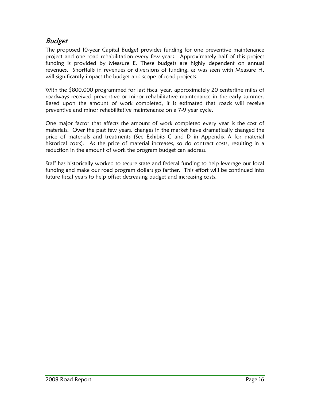## Budget

The proposed 10-year Capital Budget provides funding for one preventive maintenance project and one road rehabilitation every few years. Approximately half of this project funding is provided by Measure E. These budgets are highly dependent on annual revenues. Shortfalls in revenues or diversions of funding, as was seen with Measure H, will significantly impact the budget and scope of road projects.

With the \$800,000 programmed for last fiscal year, approximately 20 centerline miles of roadways received preventive or minor rehabilitative maintenance in the early summer. Based upon the amount of work completed, it is estimated that roads will receive preventive and minor rehabilitative maintenance on a 7-9 year cycle.

One major factor that affects the amount of work completed every year is the cost of materials. Over the past few years, changes in the market have dramatically changed the price of materials and treatments (See Exhibits C and D in Appendix A for material historical costs). As the price of material increases, so do contract costs, resulting in a reduction in the amount of work the program budget can address.

Staff has historically worked to secure state and federal funding to help leverage our local funding and make our road program dollars go farther. This effort will be continued into future fiscal years to help offset decreasing budget and increasing costs.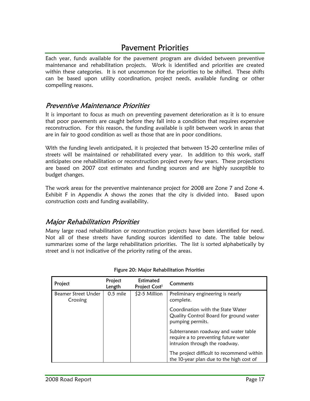## Pavement Priorities

Each year, funds available for the pavement program are divided between preventive maintenance and rehabilitation projects. Work is identified and priorities are created within these categories. It is not uncommon for the priorities to be shifted. These shifts can be based upon utility coordination, project needs, available funding or other compelling reasons.

#### Preventive Maintenance Priorities

It is important to focus as much on preventing pavement deterioration as it is to ensure that poor pavements are caught before they fall into a condition that requires expensive reconstruction. For this reason, the funding available is split between work in areas that are in fair to good condition as well as those that are in poor conditions.

With the funding levels anticipated, it is projected that between 15-20 centerline miles of streets will be maintained or rehabilitated every year. In addition to this work, staff anticipates one rehabilitation or reconstruction project every few years. These projections are based on 2007 cost estimates and funding sources and are highly susceptible to budget changes.

The work areas for the preventive maintenance project for 2008 are Zone 7 and Zone 4. Exhibit F in Appendix A shows the zones that the city is divided into. Based upon construction costs and funding availability.

#### Major Rehabilitation Priorities

Many large road rehabilitation or reconstruction projects have been identified for need. Not all of these streets have funding sources identified to date. The table below summarizes some of the large rehabilitation priorities. The list is sorted alphabetically by street and is not indicative of the priority rating of the areas.

| Project                         | Project<br>Length | Estimated<br>Project Cost <sup>1</sup> | Comments                                                                                                       |
|---------------------------------|-------------------|----------------------------------------|----------------------------------------------------------------------------------------------------------------|
| Beamer Street Under<br>Crossing | $0.5$ mile        | \$2-5 Million                          | Preliminary engineering is nearly<br>complete.                                                                 |
|                                 |                   |                                        | Coordination with the State Water<br>Quality Control Board for ground water<br>pumping permits.                |
|                                 |                   |                                        | Subterranean roadway and water table<br>require a to preventing future water<br>intrusion through the roadway. |
|                                 |                   |                                        | The project difficult to recommend within<br>the 10-year plan due to the high cost of                          |

#### Figure 20: Major Rehabilitation Priorities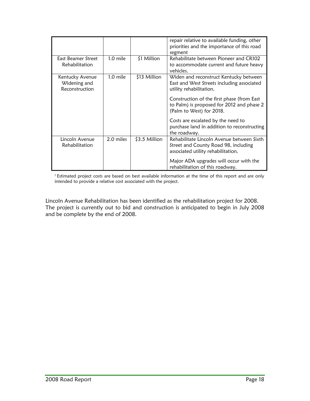|                                                   |           |                | repair relative to available funding, other<br>priorities and the importance of this road<br>segment                    |
|---------------------------------------------------|-----------|----------------|-------------------------------------------------------------------------------------------------------------------------|
| <b>Fast Beamer Street</b><br>Rehabilitation       | 1.0 mile  | \$1 Million    | Rehabilitate between Pioneer and CR102<br>to accommodate current and future heavy<br>vehicles.                          |
| Kentucky Avenue<br>Widening and<br>Reconstruction | 1.0 mile  | \$13 Million   | Widen and reconstruct Kentucky between<br>East and West Streets including associated<br>utility rehabilitation.         |
|                                                   |           |                | Construction of the first phase (from East<br>to Palm) is proposed for 2012 and phase 2<br>(Palm to West) for 2018.     |
|                                                   |           |                | Costs are escalated by the need to<br>purchase land in addition to reconstructing<br>the roadway.                       |
| Lincoln Avenue<br>Rehabilitation                  | 2.0 miles | $$3.5$ Million | Rehabilitate Lincoln Avenue between Sixth<br>Street and County Road 98, including<br>associated utility rehabilitation. |
|                                                   |           |                | Major ADA upgrades will occur with the<br>rehabilitation of this roadway.                                               |

<sup>1</sup> Estimated project costs are based on best available information at the time of this report and are only intended to provide a relative cost associated with the project.

Lincoln Avenue Rehabilitation has been identified as the rehabilitation project for 2008. The project is currently out to bid and construction is anticipated to begin in July 2008 and be complete by the end of 2008.